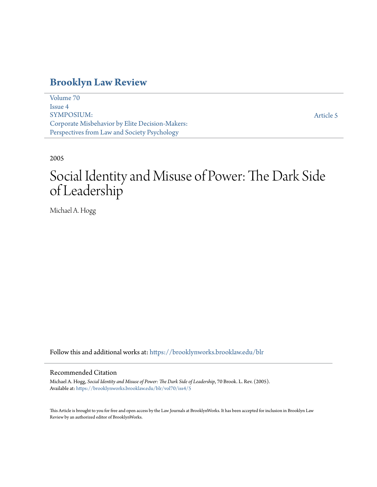# **[Brooklyn Law Review](https://brooklynworks.brooklaw.edu/blr?utm_source=brooklynworks.brooklaw.edu%2Fblr%2Fvol70%2Fiss4%2F5&utm_medium=PDF&utm_campaign=PDFCoverPages)**

[Volume 70](https://brooklynworks.brooklaw.edu/blr/vol70?utm_source=brooklynworks.brooklaw.edu%2Fblr%2Fvol70%2Fiss4%2F5&utm_medium=PDF&utm_campaign=PDFCoverPages) [Issue 4](https://brooklynworks.brooklaw.edu/blr/vol70/iss4?utm_source=brooklynworks.brooklaw.edu%2Fblr%2Fvol70%2Fiss4%2F5&utm_medium=PDF&utm_campaign=PDFCoverPages) SYMPOSIUM: Corporate Misbehavior by Elite Decision-Makers: Perspectives from Law and Society Psychology

[Article 5](https://brooklynworks.brooklaw.edu/blr/vol70/iss4/5?utm_source=brooklynworks.brooklaw.edu%2Fblr%2Fvol70%2Fiss4%2F5&utm_medium=PDF&utm_campaign=PDFCoverPages)

# 2005

# Social Identity and Misuse of Power: The Dark Side of Leadership

Michael A. Hogg

Follow this and additional works at: [https://brooklynworks.brooklaw.edu/blr](https://brooklynworks.brooklaw.edu/blr?utm_source=brooklynworks.brooklaw.edu%2Fblr%2Fvol70%2Fiss4%2F5&utm_medium=PDF&utm_campaign=PDFCoverPages)

#### Recommended Citation

Michael A. Hogg, *Social Identity and Misuse of Power: The Dark Side of Leadership*, 70 Brook. L. Rev. (2005). Available at: [https://brooklynworks.brooklaw.edu/blr/vol70/iss4/5](https://brooklynworks.brooklaw.edu/blr/vol70/iss4/5?utm_source=brooklynworks.brooklaw.edu%2Fblr%2Fvol70%2Fiss4%2F5&utm_medium=PDF&utm_campaign=PDFCoverPages)

This Article is brought to you for free and open access by the Law Journals at BrooklynWorks. It has been accepted for inclusion in Brooklyn Law Review by an authorized editor of BrooklynWorks.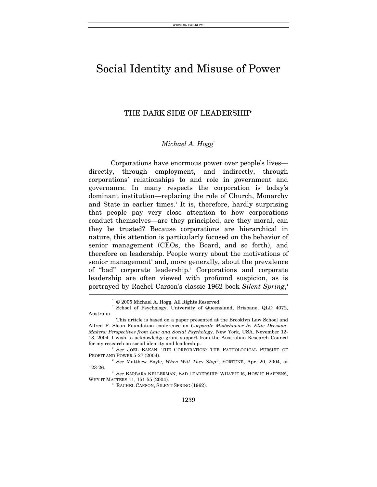# Social Identity and Misuse of Power

# THE DARK SIDE OF LEADERSHI[P\\*](#page-1-0)

# *Michael A. Hogg*[†](#page-1-1)

Corporations have enormous power over people's lives directly, through employment, and indirectly, through corporations' relationships to and role in government and governance. In many respects the corporation is today's dominant institution—replacing the role of Church, Monarchy and State in earlier times.<sup>1</sup> It is, therefore, hardly surprising that people pay very close attention to how corporations conduct themselves—are they principled, are they moral, can they be trusted? Because corporations are hierarchical in nature, this attention is particularly focused on the behavior of senior management (CEOs, the Board, and so forth), and therefore on leadership. People worry about the motivations of senior management<sup>2</sup> and, more generally, about the prevalence of"bad" corporate leadership. Corporations and corporate leadership are often viewed with profound suspicion, as is portrayed by Rachel Carson's classic 1962 book *Silent Spring*, [4](#page-1-5)

<span id="page-1-1"></span><span id="page-1-0"></span>

<sup>\* © 2005</sup> Michael A. Hogg. All Rights Reserved. † School of Psychology, University of Queensland, Brisbane, QLD 4072, Australia.

This article is based on a paper presented at the Brooklyn Law School and Alfred P. Sloan Foundation conference on *Corporate Misbehavior by Elite Decision-Makers: Perspectives from Law and Social Psychology*. New York, USA. November 12- 13, 2004. I wish to acknowledge grant support from the Australian Research Council for my research on social identity and leadership.

<span id="page-1-2"></span><sup>&</sup>lt;sup>1</sup> See JOEL BAKAN, THE CORPORATION: THE PATHOLOGICAL PURSUIT OF PROFIT AND POWER 5-27 (2004).

<sup>2</sup>  *See* Matthew Boyle, *When Will They Stop?*, FORTUNE, Apr. 20, 2004, at 123-26. 3

*See* BARBARA KELLERMAN, BAD LEADERSHIP: WHAT IT IS, HOW IT HAPPENS, WHY IT MATTERS 11, 151-55 (2004). 4

<span id="page-1-5"></span><span id="page-1-4"></span><span id="page-1-3"></span>RACHEL CARSON, SILENT SPRING (1962).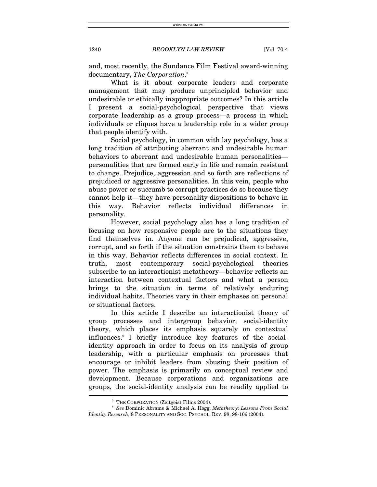and, most recently, the Sundance Film Festival award-winning documentary, *The Corporation*. [5](#page-2-0)

What is it about corporate leaders and corporate management that may produce unprincipled behavior and undesirable or ethically inappropriate outcomes? In this article I present a social-psychological perspective that views corporate leadership as a group process—a process in which individuals or cliques have a leadership role in a wider group that people identify with.

Social psychology, in common with lay psychology, has a long tradition of attributing aberrant and undesirable human behaviors to aberrant and undesirable human personalities personalities that are formed early in life and remain resistant to change. Prejudice, aggression and so forth are reflections of prejudiced or aggressive personalities. In this vein, people who abuse power or succumb to corrupt practices do so because they cannot help it—they have personality dispositions to behave in this way. Behavior reflects individual differences in personality.

However, social psychology also has a long tradition of focusing on how responsive people are to the situations they find themselves in. Anyone can be prejudiced, aggressive, corrupt, and so forth if the situation constrains them to behave in this way. Behavior reflects differences in social context. In truth, most contemporary social-psychological theories subscribe to an interactionist metatheory—behavior reflects an interaction between contextual factors and what a person brings to the situation in terms of relatively enduring individual habits. Theories vary in their emphases on personal or situational factors.

In this article I describe an interactionist theory of group processes and intergroup behavior, social-identity theory, which places its emphasis squarely on contextual influences.6 I briefly introduce key features of the socialidentity approach in order to focus on its analysis of group leadership, with a particular emphasis on processes that encourage or inhibit leaders from abusing their position of power. The emphasis is primarily on conceptual review and development. Because corporations and organizations are groups, the social-identity analysis can be readily applied to ۔<br>ـ

<span id="page-2-1"></span><span id="page-2-0"></span><sup>&</sup>lt;sup>5</sup> THE CORPORATION (Zeitgeist Films 2004).<br><sup>6</sup> See Davisie Absence <sup>8</sup> Michael A. Hem.

*See* Dominic Abrams & Michael A. Hogg, *Metatheory: Lessons From Social Identity Research*, 8 PERSONALITY AND SOC. PSYCHOL. REV. 98, 98-106 (2004).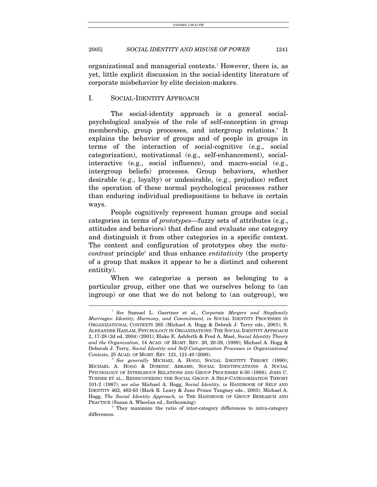organizational and managerial contexts.7 However, there is, as yet, little explicit discussion in the social-identity literature of corporate misbehavior by elite decision-makers.

# I. SOCIAL-IDENTITY APPROACH

<span id="page-3-0"></span> $\overline{a}$ 

The social-identity approach is a general socialpsychological analysis of the role of self-conception in group membership,group processes, and intergroup relations.<sup>8</sup> It explains the behavior of groups and of people in groups in terms of the interaction of social-cognitive (e.g., social categorization), motivational (e.g., self-enhancement), socialinteractive (e.g., social influence), and macro-social (e.g., intergroup beliefs) processes. Group behaviors, whether desirable (e.g., loyalty) or undesirable, (e.g., prejudice) reflect the operation of these normal psychological processes rather than enduring individual predispositions to behave in certain ways.

People cognitively represent human groups and social categories in terms of *prototypes*—fuzzy sets of attributes (e.g., attitudes and behaviors) that define and evaluate one category and distinguish it from other categories in a specific context. The content and configuration of prototypes obey the *metacontrast* principle<sup>[9](#page-3-2)</sup> and thus enhance *entitativity* (the property of a group that makes it appear to be a distinct and coherent entitity).

When we categorize a person as belonging to a particular group, either one that we ourselves belong to (an ingroup) or one that we do not belong to (an outgroup), we

<sup>7</sup>  *See* Samuel L. Gaertner et al., *Corporate Mergers and Stepfamily Marriages: Identity, Harmony, and Commitment, in* SOCIAL IDENTITY PROCESSES IN ORGANIZATIONAL CONTEXTS 265 (Michael A. Hogg & Debrah J. Terry eds., 2001); S. ALEXANDER HASLAM, PSYCHOLOGY IN ORGANISATIONS: THE SOCIAL IDENTITY APPROACH 2, 17-28 (2d ed. 2004) (2001); Blake E. Ashforth & Fred A. Mael, *Social Identity Theory and the Organization*, 14 ACAD. OF MGMT. REV. 20, 20-39, (1989); Michael A. Hogg & Deborah J. Terry, *Social Identity and Self-Categorization Processes in Organizational* 

<span id="page-3-1"></span>*See generally* MICHAEL A. HOGG, SOCIAL IDENTITY THEORY (1990); MICHAEL A. HOGG & DOMINIC ABRAMS, SOCIAL IDENTIFICATIONS: A SOCIAL PSYCHOLOGY OF INTERGROUP RELATIONS AND GROUP PROCESSES 6-30 (1988); JOHN C. TURNER ET AL., REDISCOVERING THE SOCIAL GROUP: A SELF-CATEGORIZATION THEORY 101-2 (1987); *see also* Michael A. Hogg, *Social Identity, in* HANDBOOK OF SELF AND IDENTITY 462, 462-63 (Mark R. Leary & June Prince Tangney eds., 2003); Michael A. Hogg, *The Social Identity Approach, in* THE HANDBOOK OF GROUP RESEARCH AND PRACTICE (Susan A. Wheelan ed., forthcoming).

<span id="page-3-2"></span><sup>9</sup> They maximize the ratio of inter-category differences to intra-category differences.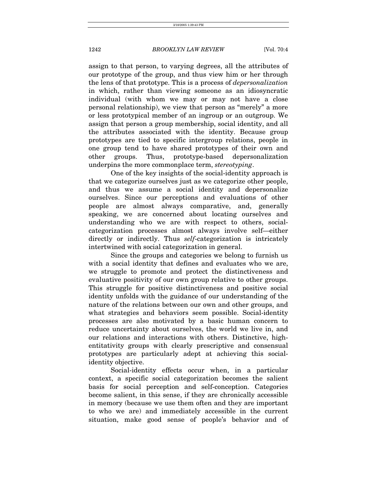assign to that person, to varying degrees, all the attributes of our prototype of the group, and thus view him or her through the lens of that prototype. This is a process of *depersonalization* in which, rather than viewing someone as an idiosyncratic individual (with whom we may or may not have a close personal relationship), we view that person as "merely" a more or less prototypical member of an ingroup or an outgroup. We assign that person a group membership, social identity, and all the attributes associated with the identity. Because group prototypes are tied to specific intergroup relations, people in one group tend to have shared prototypes of their own and other groups. Thus, prototype-based depersonalization underpins the more commonplace term, *stereotyping*.

One of the key insights of the social-identity approach is that we categorize ourselves just as we categorize other people, and thus we assume a social identity and depersonalize ourselves. Since our perceptions and evaluations of other people are almost always comparative, and, generally speaking, we are concerned about locating ourselves and understanding who we are with respect to others, socialcategorization processes almost always involve self—either directly or indirectly. Thus *self*-categorization is intricately intertwined with social categorization in general.

Since the groups and categories we belong to furnish us with a social identity that defines and evaluates who we are, we struggle to promote and protect the distinctiveness and evaluative positivity of our own group relative to other groups. This struggle for positive distinctiveness and positive social identity unfolds with the guidance of our understanding of the nature of the relations between our own and other groups, and what strategies and behaviors seem possible. Social-identity processes are also motivated by a basic human concern to reduce uncertainty about ourselves, the world we live in, and our relations and interactions with others. Distinctive, highentitativity groups with clearly prescriptive and consensual prototypes are particularly adept at achieving this socialidentity objective.

Social-identity effects occur when, in a particular context, a specific social categorization becomes the salient basis for social perception and self-conception. Categories become salient, in this sense, if they are chronically accessible in memory (because we use them often and they are important to who we are) and immediately accessible in the current situation, make good sense of people's behavior and of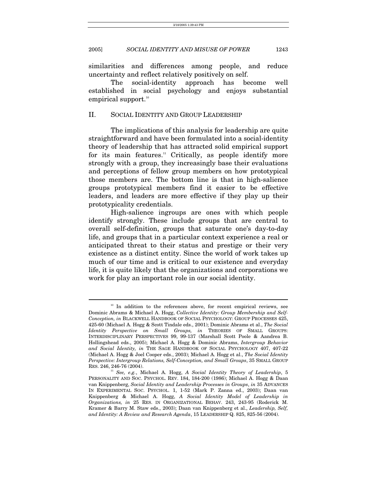similarities and differences among people, and reduce uncertainty and reflect relatively positively on self.

The social-identity approach has become well established in social psychology and enjoys substantial empirical support.<sup>10</sup>

# II. SOCIAL IDENTITY AND GROUP LEADERSHIP

The implications of this analysis for leadership are quite straightforward and have been formulated into a social-identity theory of leadership that has attracted solid empirical support for its main features.<sup>11</sup> Critically, as people identify more strongly with a group, they increasingly base their evaluations and perceptions of fellow group members on how prototypical those members are. The bottom line is that in high-salience groups prototypical members find it easier to be effective leaders, and leaders are more effective if they play up their prototypicality credentials.

High-salience ingroups are ones with which people identify strongly. These include groups that are central to overall self-definition, groups that saturate one's day-to-day life, and groups that in a particular context experience a real or anticipated threat to their status and prestige or their very existence as a distinct entity. Since the world of work takes up much of our time and is critical to our existence and everyday life, it is quite likely that the organizations and corporations we work for play an important role in our social identity.

<span id="page-5-0"></span><sup>&</sup>lt;sup>10</sup> In addition to the references above, for recent empirical reviews, see Dominic Abrams & Michael A. Hogg, *Collective Identity: Group Membership and Self-Conception, in* BLACKWELL HANDBOOK OF SOCIAL PSYCHOLOGY: GROUP PROCESSES 425, 425-60 (Michael A. Hogg & Scott Tindale eds., 2001); Dominic Abrams et al., *The Social Identity Perspective on Small Groups, in* THEORIES OF SMALL GROUPS: INTERDISCIPLINARY PERSPECTIVES 99, 99-137 (Marshall Scott Poole & Aandrea B. Hollingshead eds., 2005); Michael A. Hogg & Dominic Abrams, *Intergroup Behavior and Social Identity, in* THE SAGE HANDBOOK OF SOCIAL PSYCHOLOGY 407, 407-22 (Michael A. Hogg & Joel Cooper eds., 2003); Michael A. Hogg et al., *The Social Identity Perspective: Intergroup Relations, Self-Conception, and Small Groups*, 35 SMALL GROUP

<span id="page-5-1"></span><sup>&</sup>lt;sup>11</sup> See, e.g., Michael A. Hogg, *A Social Identity Theory of Leadership*, 5 PERSONALITY AND SOC. PSYCHOL. REV. 184, 184-200 (1986); Michael A. Hogg & Daan van Knippenberg, *Social Identity and Leadership Processes in Groups*, *in* 35 ADVANCES IN EXPERIMENTAL SOC. PSYCHOL. 1, 1-52 (Mark P. Zanna ed., 2003); Daan van Knippenberg & Michael A. Hogg, *A Social Identity Model of Leadership in Organizations, in* 25 RES. IN ORGANIZATIONAL BEHAV. 243, 243-95 (Roderick M. Kramer & Barry M. Staw eds., 2003); Daan van Knippenberg et al., *Leadership, Self, and Identity: A Review and Research Agenda*, 15 LEADERSHIP Q. 825, 825-56 (2004).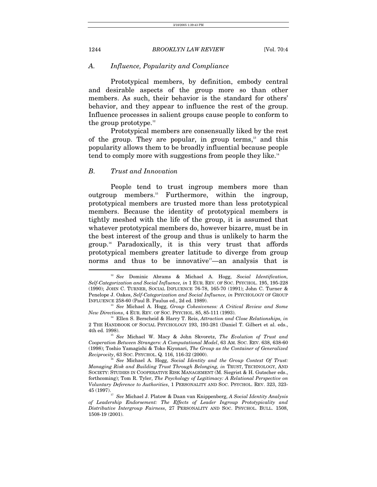#### *A. Influence, Popularity and Compliance*

Prototypical members, by definition, embody central and desirable aspects of the group more so than other members. As such, their behavior is the standard for others' behavior, and they appear to influence the rest of the group. Influence processes in salient groups cause people to conform to the group prototype. $12$ 

Prototypical members are consensually liked by the rest of the group. They are popular, in group terms, $13$  and this popularity allows them to be broadly influential because people tend to comply more with suggestions from people they like.<sup>[14](#page-6-2)</sup>

# *B. Trust and Innovation*

People tend to trust ingroup members more than outgroup members.[15](#page-6-3) Furthermore, within the ingroup, prototypical members are trusted more than less prototypical members. Because the identity of prototypical members is tightly meshed with the life of the group, it is assumed that whatever prototypical members do, however bizarre, must be in the best interest of the group and thus is unlikely to harm the group.[16](#page-6-4) Paradoxically, it is this very trust that affords prototypical members greater latitude to diverge from group norms and thus to be innovative<sup>17</sup>—an analysis that is

<span id="page-6-0"></span><sup>12</sup> *See* Dominic Abrams & Michael A. Hogg, *Social Identification, Self-Categorization and Social Influence, in* 1 EUR. REV. OF SOC. PSYCHOL. 195, 195-228 (1990); JOHN C. TURNER, SOCIAL INFLUENCE 76-78, 165-70 (1991); John C. Turner & Penelope J. Oakes, *Self-Categorization and Social Influence*, *in PSYCHOLOGY OF GROUP* INFLUENCE 258-60 (Paul B. Paulus ed., 2d ed. 1989).

<span id="page-6-1"></span><sup>&</sup>lt;sup>13</sup> See Michael A. Hogg, *Group Cohesiveness: A Critical Review and Some New Directions*, 4 EUR. REV. OF SOC. PSYCHOL. 85, 85-111 (1993).<br><sup>14</sup> Ellen S. Berscheid & Harry T. Reis, *Attraction and Close Relationships, in* 

<span id="page-6-2"></span><sup>2</sup> THE HANDBOOK OF SOCIAL PSYCHOLOGY 193, 193-281 (Daniel T. Gilbert et al. eds., 4th ed. 1998). 15 *See* Michael W. Macy & John Skvoretz, *The Evolution of Trust and* 

<span id="page-6-3"></span>*Cooperation Between Strangers: A Computational Model*, 63 AM. SOC. REV. 638, 638-60 (1998); Toshio Yamagishi & Toko Kiyonari, *The Group as the Container of Generalized* 

<span id="page-6-4"></span>*See Michael A. Hogg, Social Identity and the Group Context Of Trust: Managing Risk and Building Trust Through Belonging, in* TRUST, TECHNOLOGY, AND SOCIETY: STUDIES IN COOPERATIVE RISK MANAGEMENT (M. Siegrist & H. Gutscher eds., forthcoming); Tom R. Tyler, *The Psychology of Legitimacy: A Relational Perspective on Voluntary Deference to Authorities*, 1 PERSONALITY AND SOC. PSYCHOL. REV. 323, 323-

<span id="page-6-5"></span><sup>45 (1997). 17</sup> *See* Michael J. Platow & Daan van Knippenberg, *A Social Identity Analysis of Leadership Endorsement: The Effects of Leader Ingroup Prototypicality and Distributive Intergroup Fairness*, 27 PERSONALITY AND SOC. PSYCHOL. BULL. 1508, 1508-19 (2001).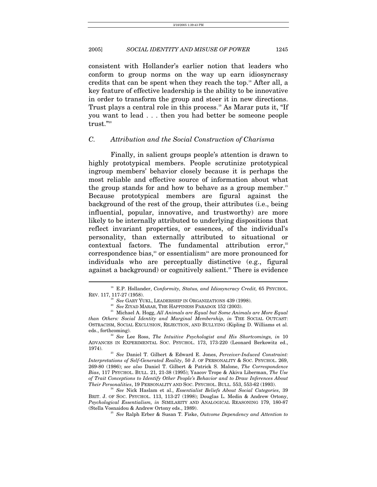consistent with Hollander's earlier notion that leaders who conform to group norms on the way up earn idiosyncrasy credits that can be spent when they reach the top.<sup>18</sup> After all, a key feature of effective leadership is the ability to be innovative in order to transform the group and steer it in new directions. Trust plays a central role in this process.<sup>19</sup> As Marar puts it, "If you want to lead . . . then you had better be someone people trust."[20](#page-7-2)

# *C. Attribution and the Social Construction of Charisma*

Finally, in salient groups people's attention is drawn to highly prototypical members. People scrutinize prototypical ingroup members' behavior closely because it is perhaps the most reliable and effective source of information about what the group stands for and how to behave as a group member.<sup>[21](#page-7-3)</sup> Because prototypical members are figural against the background of the rest of the group, their attributes (i.e., being influential, popular, innovative, and trustworthy) are more likely to be internally attributed to underlying dispositions that reflect invariant properties, or essences, of the individual's personality, than externally attributed to situational or contextual factors. The fundamental attribution error, $22$ correspondence bias, $23$  or essentialism<sup>24</sup> are more pronounced for individuals who are perceptually distinctive (e.g., figural against a background) or cognitively salient.<sup>25</sup> There is evidence

<sup>&</sup>lt;sup>18</sup> E.P. Hollander, *Conformity, Status, and Idiosyncracy Credit,* 65 PSYCHOL. REV. 117, 117-27 (1958).<br>
<sup>19</sup> See GARY YUKL, LEADERSHIP IN ORGANIZATIONS 439 (1998).<br>
<sup>20</sup> See ZIYAD MARAR, THE HAPPINESS PARADOX 152 (2003).<br>
<sup>21</sup> Michael A. Hogg, *All Animals are Equal but Some Animals are More Equal* 

<span id="page-7-1"></span><span id="page-7-0"></span>

<span id="page-7-3"></span><span id="page-7-2"></span>

*than Others: Social Identity and Marginal Membership, in* THE SOCIAL OUTCAST: OSTRACISM, SOCIAL EXCLUSION, REJECTION, AND BULLYING (Kipling D. Williams et al. eds., forthcoming). 22 *See* Lee Ross, *The Intuitive Psychologist and His Shortcomings, in*<sup>10</sup>

<span id="page-7-4"></span>ADVANCES IN EXPERIMENTAL SOC. PSYCHOL. 173, 173-220 (Leonard Berkowitz ed., 1974). 23 *See* Daniel T. Gilbert & Edward E. Jones, *Perceiver-Induced Constraint:* 

<span id="page-7-5"></span>*Interpretations of Self-Generated Reality*, 50 J. OF PERSONALITY & SOC. PSYCHOL. 269, 269-80 (1986); *see also* Daniel T. Gilbert & Patrick S. Malone, *The Correspondence Bias*, 117 PSYCHOL. BULL. 21, 21-38 (1995); Yaacov Trope & Akiva Liberman, *The Use of Trait Conceptions to Identify Other People's Behavior and to Draw Inferences About Their Personalities*, 19 PERSONALITY AND SOC. PSYCHOL. BULL. 553, 553-62 (1993).<br><sup>24</sup> See Nick Haslam et al., *Essentialist Beliefs About Social Categories*, 39

<span id="page-7-6"></span>BRIT. J. OF SOC. PSYCHOL. 113, 113-27 (1998); Douglas L. Medin & Andrew Ortony, *Psychological Essentialism, in* SIMILARITY AND ANALOGICAL REASONING 179, 180-87 (Stella Vosnaidou & Andrew Ortony eds., 1989). 25 *See* Ralph Erber & Susan T. Fiske, *Outcome Dependency and Attention to* 

<span id="page-7-7"></span>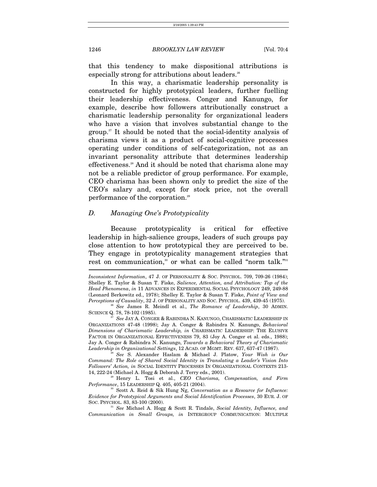that this tendency to make dispositional attributions is especially strong for attributions about leaders.<sup>[26](#page-8-0)</sup>

In this way, a charismatic leadership personality is constructed for highly prototypical leaders, further fuelling their leadership effectiveness. Conger and Kanungo, for example, describe how followers attributionally construct a charismatic leadership personality for organizational leaders who have a vision that involves substantial change to the group.<sup>27</sup> It should be noted that the social-identity analysis of charisma views it as a product of social-cognitive processes operating under conditions of self-categorization, not as an invariant personality attribute that determines leadership effectiveness.<sup>28</sup> And it should be noted that charisma alone may not be a reliable predictor of group performance. For example, CEO charisma has been shown only to predict the size of the CEO's salary and, except for stock price, not the overall performance of the corporation.[29](#page-8-3)

# *D. Managing One's Prototypicality*

Because prototypicality is critical for effective leadership in high-salience groups, leaders of such groups pay close attention to how prototypical they are perceived to be. They engage in prototypicality management strategies that rest on communication,<sup>30</sup> or what can be called "norm talk."<sup>31</sup>

*Inconsistent Information*, 47 J. OF PERSONALITY & SOC. PSYCHOL. 709, 709-26 (1984); Shelley E. Taylor & Susan T. Fiske, *Salience, Attention, and Attribution: Top of the Head Phenomena*, *in* 11 ADVANCES IN EXPERIMENTAL SOCIAL PSYCHOLOGY 249, 249-88 (Leonard Berkowitz ed., 1978); Shelley E. Taylor & Susan T. Fiske, *Point of View and* 

<span id="page-8-0"></span>*Perceptions of Causality*, 32 J. OF PERSONALITY AND SOC. PSYCHOL. 439, 439-45 (1975).<br><sup>26</sup> *See* James R. Meindl et al., *The Romance of Leadership*, 30 ADMIN. SCIENCE Q. 78, 78-102 (1985).

<span id="page-8-1"></span><sup>27</sup> *See* JAY A. CONGER & RABINDRA N. KANUNGO, CHARISMATIC LEADERSHIP IN ORGANIZATIONS 47-48 (1998); Jay A. Conger & Rabindra N. Kanungo, *Behavioral Dimensions of Charismatic Leadership, in* CHARISMATIC LEADERSHIP: THE ELUSIVE FACTOR IN ORGANIZATIONAL EFFECTIVENESS 79, 83 (Joy A. Conger et al. eds., 1988); Jay A. Conger & Rabindra N. Kanungo, *Towards a Behavioral Theory of Charismatic Leadership in Organizational Settings*, 12 ACAD. OF MGMT. REV. 637, 637-47 (1987). 28 *See* S. Alexander Haslam & Michael J. Platow, *Your Wish is Our* 

<span id="page-8-2"></span>*Command: The Role of Shared Social Identity in Translating a Leader's Vision Into Followers' Action, in* SOCIAL IDENTITY PROCESSES IN ORGANIZATIONAL CONTEXTS 213- 14, 222-24 (Michael A. Hogg & Deborah J. Terry eds., 2001). 29 Henry L. Tosi et al., *CEO Charisma, Compensation, and Firm* 

<span id="page-8-3"></span>*Performance*, 15 LEADERSHIP Q. 405, 405-21 (2004).<br><sup>30</sup> Scott A. Reid & Sik Hung Ng, *Conversation as a Resource for Influence*:

<span id="page-8-4"></span>*Evidence for Prototypical Arguments and Social Identification Processes*, 30 EUR. J. OF SOC. PSYCHOL. 83, 83-100 (2000).<br><sup>31</sup> *See* Michael A. Hogg & Scott R. Tindale, *Social Identity, Influence, and* 

<span id="page-8-5"></span>*Communication in Small Groups, in* INTERGROUP COMMUNICATION: MULTIPLE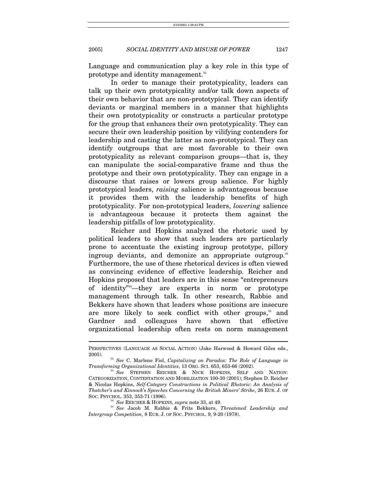Language and communication play a key role in this type of prototype and identity management.<sup>32</sup>

In order to manage their prototypicality, leaders can talk up their own prototypicality and/or talk down aspects of their own behavior that are non-prototypical. They can identify deviants or marginal members in a manner that highlights their own prototypicality or constructs a particular prototype for the group that enhances their own prototypicality. They can secure their own leadership position by vilifying contenders for leadership and casting the latter as non-prototypical. They can identify outgroups that are most favorable to their own prototypicality as relevant comparison groups—that is, they can manipulate the social-comparative frame and thus the prototype and their own prototypicality. They can engage in a discourse that raises or lowers group salience. For highly prototypical leaders, *raising* salience is advantageous because it provides them with the leadership benefits of high prototypicality. For non-prototypical leaders, *lowering* salience is advantageous because it protects them against the leadership pitfalls of low prototypicality.

Reicher and Hopkins analyzed the rhetoric used by political leaders to show that such leaders are particularly prone to accentuate the existing ingroup prototype, pillory ingroup deviants, and demonize an appropriate outgroup.<sup>[33](#page-9-1)</sup> Furthermore, the use of these rhetorical devices is often viewed as convincing evidence of effective leadership. Reicher and Hopkins proposed that leaders are in this sense "entrepreneurs of identity["34—](#page-9-2)they are experts in norm or prototype management through talk. In other research, Rabbie and Bekkers have shown that leaders whose positions are insecure are more likely to seek conflict with other groups,<sup>35</sup> and Gardner and colleagues have shown that effective organizational leadership often rests on norm management

PERSPECTIVES (LANGUAGE AS SOCIAL ACTION) (Jake Harwood & Howard Giles eds., 2005).

<span id="page-9-0"></span><sup>&</sup>lt;sup>32</sup> See C. Marlene Fiol, *Capitalizing on Paradox: The Role of Language in Transforming Organizational Identities*, 13 ORG. SCI. 653, 653-66 (2002). 33 *See* STEPHEN REICHER & NICK HOPKINS, SELF AND NATION:

<span id="page-9-1"></span>CATEGORIZATION, CONTESTATION AND MOBILIZATION 100-30 (2001); Stephen D. Reicher & Nicolas Hopkins, *Self-Category Constructions in Political Rhetoric: An Analysis of Thatcher's and Kinnock's Speeches Concerning the British Miners' Strike*, 26 EUR. J. OF SOC. PSYCHOL. 353, 353-71 (1996). 34 *See* REICHER & HOPKINS, *supra* note 33, at 49.

<span id="page-9-3"></span><span id="page-9-2"></span>

<sup>35</sup> *See* Jacob M. Rabbie & Frits Bekkers, *Threatened Leadership and Intergroup Competition*, 8 EUR. J. OF SOC. PSYCHOL. 9, 9-20 (1978).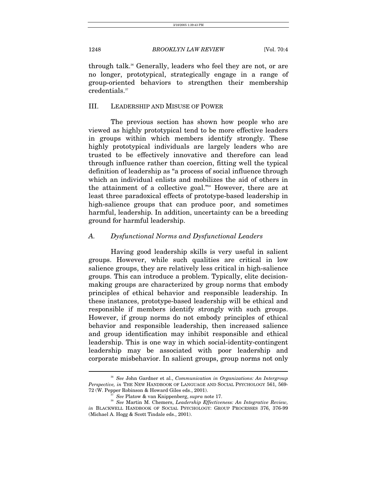$\overline{a}$ 

1248 *BROOKLYN LAW REVIEW* [Vol. 70:4

through talk.<sup>36</sup> Generally, leaders who feel they are not, or are no longer, prototypical, strategically engage in a range of group-oriented behaviors to strengthen their membership credentials.<sup>[37](#page-10-1)</sup>

# III. LEADERSHIP AND MISUSE OF POWER

The previous section has shown how people who are viewed as highly prototypical tend to be more effective leaders in groups within which members identify strongly. These highly prototypical individuals are largely leaders who are trusted to be effectively innovative and therefore can lead through influence rather than coercion, fitting well the typical definition of leadership as "a process of social influence through which an individual enlists and mobilizes the aid of others in the attainment of a collective goal."<sup>38</sup> However, there are at least three paradoxical effects of prototype-based leadership in high-salience groups that can produce poor, and sometimes harmful, leadership. In addition, uncertainty can be a breeding ground for harmful leadership.

# *A. Dysfunctional Norms and Dysfunctional Leaders*

Having good leadership skills is very useful in salient groups. However, while such qualities are critical in low salience groups, they are relatively less critical in high-salience groups. This can introduce a problem. Typically, elite decisionmaking groups are characterized by group norms that embody principles of ethical behavior and responsible leadership. In these instances, prototype-based leadership will be ethical and responsible if members identify strongly with such groups. However, if group norms do not embody principles of ethical behavior and responsible leadership, then increased salience and group identification may inhibit responsible and ethical leadership. This is one way in which social-identity-contingent leadership may be associated with poor leadership and corporate misbehavior. In salient groups, group norms not only

<sup>36</sup> *See* John Gardner et al., *Communication in Organizations: An Intergroup Perspective, in* THE NEW HANDBOOK OF LANGUAGE AND SOCIAL PSYCHOLOGY 561, 569-

<span id="page-10-2"></span><span id="page-10-1"></span><span id="page-10-0"></span>

<sup>72 (</sup>W. Pepper Robinson & Howard Giles eds., 2001). 37 *See* Platow & van Knippenberg, *supra* note 17. 38 *See* Martin M. Chemers, *Leadership Effectiveness: An Integrative Review, in* BLACKWELL HANDBOOK OF SOCIAL PSYCHOLOGY: GROUP PROCESSES 376, 376-99 (Michael A. Hogg & Scott Tindale eds., 2001).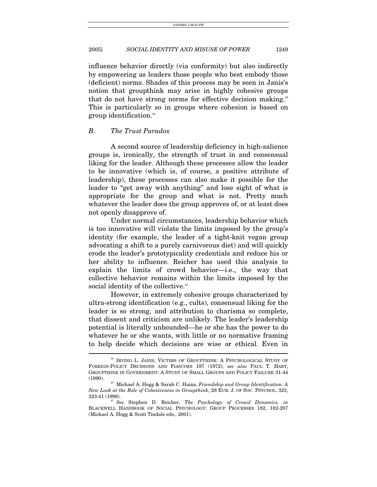influence behavior directly (via conformity) but also indirectly by empowering as leaders those people who best embody those (deficient) norms. Shades of this process may be seen in Janis's notion that groupthink may arise in highly cohesive groups that do not have strong norms for effective decision making.<sup>[39](#page-11-0)</sup> This is particularly so in groups where cohesion is based on group identification.[40](#page-11-1)

#### *B. The Trust Paradox*

A second source of leadership deficiency in high-salience groups is, ironically, the strength of trust in and consensual liking for the leader. Although these processes allow the leader to be innovative (which is, of course, a positive attribute of leadership), these processes can also make it possible for the leader to "get away with anything" and lose sight of what is appropriate for the group and what is not. Pretty much whatever the leader does the group approves of, or at least does not openly disapprove of.

Under normal circumstances, leadership behavior which is too innovative will violate the limits imposed by the group's identity (for example, the leader of a tight-knit vegan group advocating a shift to a purely carnivorous diet) and will quickly erode the leader's prototypicality credentials and reduce his or her ability to influence. Reicher has used this analysis to explain the limits of crowd behavior—i.e., the way that collective behavior remains within the limits imposed by the social identity of the collective.<sup>[41](#page-11-2)</sup>

However, in extremely cohesive groups characterized by ultra-strong identification (e.g., cults), consensual liking for the leader is so strong, and attribution to charisma so complete, that dissent and criticism are unlikely. The leader's leadership potential is literally unbounded—he or she has the power to do whatever he or she wants, with little or no normative framing to help decide which decisions are wise or ethical. Even in  $\overline{a}$ 

<span id="page-11-0"></span><sup>&</sup>lt;sup>39</sup> IRVING L. JANIS, VICTIMS OF GROUPTHINK: A PSYCHOLOGICAL STUDY OF FOREIGN-POLICY DECISIONS AND FIASCOES 197 (1972); *see also* PAUL T. HART, GROUPTHINK IN GOVERNMENT: A STUDY OF SMALL GROUPS AND POLICY FAILURE 31-44

<span id="page-11-1"></span><sup>(1990). 40</sup> Michael A. Hogg & Sarah C. Hains, *Friendship and Group Identification: A New Look at the Role of Cohesiveness in Groupthink*, 28 EUR. J. OF SOC. PSYCHOL. 323, 323-41 (1998). 41 *See* Stephen D. Reicher, *The Psychology of Crowd Dynamics, in*

<span id="page-11-2"></span>BLACKWELL HANDBOOK OF SOCIAL PSYCHOLOGY: GROUP PROCESSES 182, 182-207 (Michael A. Hogg & Scott Tindale eds., 2001).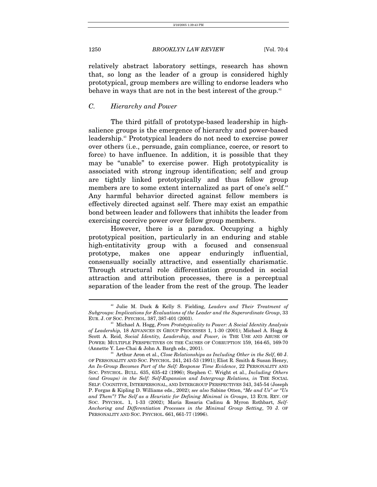relatively abstract laboratory settings, research has shown that, so long as the leader of a group is considered highly prototypical, group members are willing to endorse leaders who behave in ways that are not in the best interest of the group.<sup>42</sup>

# *C. Hierarchy and Power*

The third pitfall of prototype-based leadership in highsalience groups is the emergence of hierarchy and power-based leadership.<sup>43</sup> Prototypical leaders do not need to exercise power over others (i.e., persuade, gain compliance, coerce, or resort to force) to have influence. In addition, it is possible that they may be "unable" to exercise power. High prototypicality is associated with strong ingroup identification; self and group are tightly linked prototypically and thus fellow group members are to some extent internalized as part of one's self.<sup>44</sup> Any harmful behavior directed against fellow members is effectively directed against self. There may exist an empathic bond between leader and followers that inhibits the leader from exercising coercive power over fellow group members.

However, there is a paradox. Occupying a highly prototypical position, particularly in an enduring and stable high-entitativity group with a focused and consensual prototype, makes one appear enduringly influential, consensually socially attractive, and essentially charismatic. Through structural role differentiation grounded in social attraction and attribution processes, there is a perceptual separation of the leader from the rest of the group. The leader

<span id="page-12-0"></span><sup>42</sup> Julie M. Duck & Kelly S. Fielding, *Leaders and Their Treatment of Subgroups: Implications for Evaluations of the Leader and the Superordinate Group*, 33 EUR. J. OF SOC. PSYCHOL. 387, 387-401 (2003). 43 Michael A. Hogg, *From Prototypicality to Power: A Social Identity Analysis* 

<span id="page-12-1"></span>*of Leadership,* 18 ADVANCES IN GROUP PROCESSES 1, 1-30 (2001); Michael A. Hogg & Scott A. Reid, *Social Identity, Leadership, and Power, in* THE USE AND ABUSE OF POWER: MULTIPLE PERSPECTIVES ON THE CAUSES OF CORRUPTION 159, 164-65, 169-70 (Annette Y. Lee-Chai & John A. Bargh eds., 2001). 44 Arthur Aron et al., *Close Relationships as Including Other in the Self*, 60 J.

<span id="page-12-2"></span>OF PERSONALITY AND SOC. PSYCHOL. 241, 241-53 (1991); Eliot R. Smith & Susan Henry, *An In-Group Becomes Part of the Self: Response Time Evidence*, 22 PERSONALITY AND SOC. PSYCHOL. BULL. 635, 635-42 (1996); Stephen C. Wright et al., *Including Others (and Groups) in the Self: Self-Expansion and Intergroup Relations, in* THE SOCIAL SELF: COGNITIVE, INTERPERSONAL, AND INTERGROUP PERSPECTIVES 343, 345-54 (Joseph P. Forgas & Kipling D. Williams eds., 2002); *see also* Sabine Otten, "*Me and Us" or "Us and Them"? The Self as a Heuristic for Defining Minimal in Groups*, 13 EUR. REV. OF SOC. PSYCHOL. 1, 1-33 (2002); Maria Rosaria Cadinu & Myron Rothbart, *Self-Anchoring and Differentiation Processes in the Minimal Group Setting*, 70 J. OF PERSONALITY AND SOC. PSYCHOL. 661, 661-77 (1996).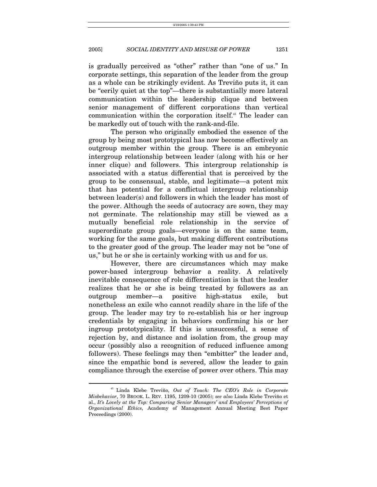is gradually perceived as "other" rather than "one of us." In corporate settings, this separation of the leader from the group as a whole can be strikingly evident. As Treviño puts it, it can be "eerily quiet at the top"—there is substantially more lateral communication within the leadership clique and between senior management of different corporations than vertical communication within the corporation itself.<sup>45</sup> The leader can be markedly out of touch with the rank-and-file.

The person who originally embodied the essence of the group by being most prototypical has now become effectively an outgroup member within the group. There is an embryonic intergroup relationship between leader (along with his or her inner clique) and followers. This intergroup relationship is associated with a status differential that is perceived by the group to be consensual, stable, and legitimate—a potent mix that has potential for a conflictual intergroup relationship between leader(s) and followers in which the leader has most of the power. Although the seeds of autocracy are sown, they may not germinate. The relationship may still be viewed as a mutually beneficial role relationship in the service of superordinate group goals—everyone is on the same team, working for the same goals, but making different contributions to the greater good of the group. The leader may not be "one of us," but he or she is certainly working with us and for us.

However, there are circumstances which may make power-based intergroup behavior a reality. A relatively inevitable consequence of role differentiation is that the leader realizes that he or she is being treated by followers as an outgroup member—a positive high-status exile, but nonetheless an exile who cannot readily share in the life of the group. The leader may try to re-establish his or her ingroup credentials by engaging in behaviors confirming his or her ingroup prototypicality. If this is unsuccessful, a sense of rejection by, and distance and isolation from, the group may occur (possibly also a recognition of reduced influence among followers). These feelings may then "embitter" the leader and, since the empathic bond is severed, allow the leader to gain compliance through the exercise of power over others. This may

<span id="page-13-0"></span><sup>45</sup> Linda Klebe Treviño, *Out of Touch: The CEO's Role in Corporate Misbehavior*, 70 BROOK. L. REV. 1195, 1209-10 (2005); *see also* Linda Klebe Treviño et al., *It's Lovely at the Top: Comparing Senior Managers' and Employees' Perceptions of Organizational Ethics*, Academy of Management Annual Meeting Best Paper Proceedings (2000).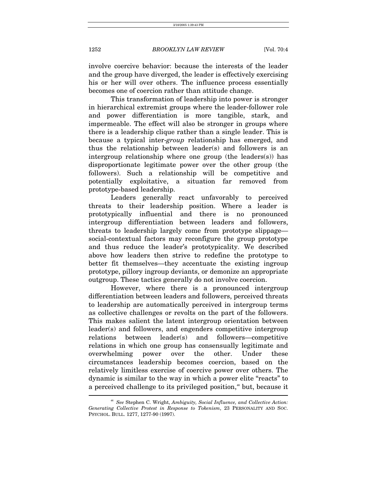involve coercive behavior: because the interests of the leader and the group have diverged, the leader is effectively exercising his or her will over others. The influence process essentially becomes one of coercion rather than attitude change.

This transformation of leadership into power is stronger in hierarchical extremist groups where the leader-follower role and power differentiation is more tangible, stark, and impermeable. The effect will also be stronger in groups where there is a leadership clique rather than a single leader. This is because a typical inter-*group* relationship has emerged, and thus the relationship between leader(s) and followers is an intergroup relationship where one group (the leaders(s)) has disproportionate legitimate power over the other group (the followers). Such a relationship will be competitive and potentially exploitative, a situation far removed from prototype-based leadership.

Leaders generally react unfavorably to perceived threats to their leadership position. Where a leader is prototypically influential and there is no pronounced intergroup differentiation between leaders and followers, threats to leadership largely come from prototype slippage social-contextual factors may reconfigure the group prototype and thus reduce the leader's prototypicality. We described above how leaders then strive to redefine the prototype to better fit themselves—they accentuate the existing ingroup prototype, pillory ingroup deviants, or demonize an appropriate outgroup. These tactics generally do not involve coercion.

However, where there is a pronounced intergroup differentiation between leaders and followers, perceived threats to leadership are automatically perceived in intergroup terms as collective challenges or revolts on the part of the followers. This makes salient the latent intergroup orientation between leader(s) and followers, and engenders competitive intergroup relations between leader(s) and followers—competitive relations in which one group has consensually legitimate and overwhelming power over the other. Under these circumstances leadership becomes coercion, based on the relatively limitless exercise of coercive power over others. The dynamic is similar to the way in which a power elite "reacts" to a perceived challenge to its privileged position,<sup>46</sup> but, because it

<span id="page-14-0"></span><sup>46</sup> *See* Stephen C. Wright, *Ambiguity, Social Influence, and Collective Action: Generating Collective Protest in Response to Tokenism*, 23 PERSONALITY AND SOC. PSYCHOL. BULL. 1277, 1277-90 (1997).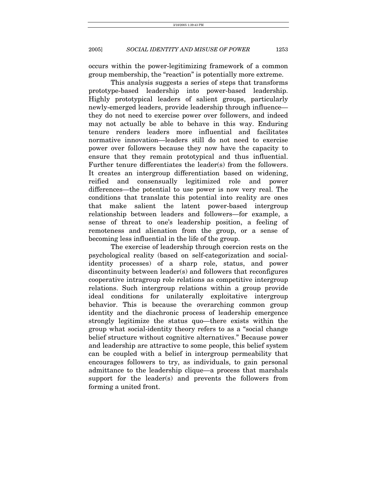occurs within the power-legitimizing framework of a common group membership, the "reaction" is potentially more extreme.

This analysis suggests a series of steps that transforms prototype-based leadership into power-based leadership. Highly prototypical leaders of salient groups, particularly newly-emerged leaders, provide leadership through influence they do not need to exercise power over followers, and indeed may not actually be able to behave in this way. Enduring tenure renders leaders more influential and facilitates normative innovation—leaders still do not need to exercise power over followers because they now have the capacity to ensure that they remain prototypical and thus influential. Further tenure differentiates the leader(s) from the followers. It creates an intergroup differentiation based on widening, reified and consensually legitimized role and power differences—the potential to use power is now very real. The conditions that translate this potential into reality are ones that make salient the latent power-based intergroup relationship between leaders and followers—for example, a sense of threat to one's leadership position, a feeling of remoteness and alienation from the group, or a sense of becoming less influential in the life of the group.

The exercise of leadership through coercion rests on the psychological reality (based on self-categorization and socialidentity processes) of a sharp role, status, and power discontinuity between leader(s) and followers that reconfigures cooperative intragroup role relations as competitive intergroup relations. Such intergroup relations within a group provide ideal conditions for unilaterally exploitative intergroup behavior. This is because the overarching common group identity and the diachronic process of leadership emergence strongly legitimize the status quo—there exists within the group what social-identity theory refers to as a "social change belief structure without cognitive alternatives." Because power and leadership are attractive to some people, this belief system can be coupled with a belief in intergroup permeability that encourages followers to try, as individuals, to gain personal admittance to the leadership clique—a process that marshals support for the leader(s) and prevents the followers from forming a united front.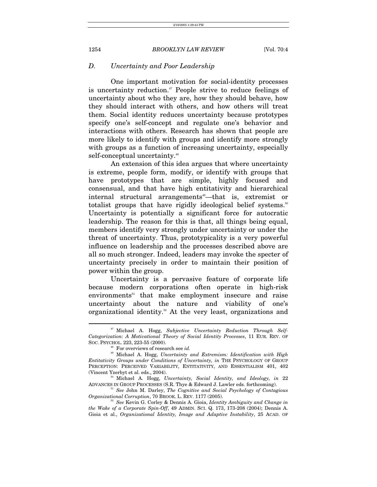#### *D. Uncertainty and Poor Leadership*

One important motivation for social-identity processes is uncertainty reduction.<sup>47</sup> People strive to reduce feelings of uncertainty about who they are, how they should behave, how they should interact with others, and how others will treat them. Social identity reduces uncertainty because prototypes specify one's self-concept and regulate one's behavior and interactions with others. Research has shown that people are more likely to identify with groups and identify more strongly with groups as a function of increasing uncertainty, especially self-conceptual uncertainty.<sup>[48](#page-16-1)</sup>

An extension of this idea argues that where uncertainty is extreme, people form, modify, or identify with groups that have prototypes that are simple, highly focused and consensual, and that have high entitativity and hierarchical internal structural arrangements<sup>49</sup>—that is, extremist or totalist groups that have rigidly ideological belief systems.<sup>50</sup> Uncertainty is potentially a significant force for autocratic leadership. The reason for this is that, all things being equal, members identify very strongly under uncertainty or under the threat of uncertainty. Thus, prototypicality is a very powerful influence on leadership and the processes described above are all so much stronger. Indeed, leaders may invoke the specter of uncertainty precisely in order to maintain their position of power within the group.

Uncertainty is a pervasive feature of corporate life because modern corporations often operate in high-risk environments<sup>51</sup> that make employment insecure and raise uncertainty about the nature and viability of one's organizational identity.[52](#page-16-5) At the very least, organizations and

<sup>47</sup> Michael A. Hogg, *Subjective Uncertainty Reduction Through Self-Categorization: A Motivational Theory of Social Identity Processes*, 11 EUR. REV. OF SOC. PSYCHOL. 223, 223-55 (2000).<br><sup>48</sup> For overviews of research see *id.* 

<span id="page-16-2"></span><span id="page-16-1"></span><span id="page-16-0"></span>

<sup>49</sup> Michael A. Hogg, *Uncertainty and Extremism: Identification with High Entitativity Groups under Conditions of Uncertainty, in* THE PSYCHOLOGY OF GROUP PERCEPTION: PERCEIVED VARIABILITY, ENTITATIVITY, AND ESSENTIALISM 401, 402 (Vincent Yzerbyt et al. eds., 2004).

<span id="page-16-3"></span><sup>&</sup>lt;sup>50</sup> Michael A. Hogg, *Uncertainty, Social Identity, and Ideology, in* 22

<span id="page-16-4"></span>ADVANCES IN GROUP PROCESSES (S.R. Thye & Edward J. Lawler eds. forthcoming).<br><sup>51</sup> See John M. Darley, *The Cognitive and Social Psychology of Contagious Organizational Corruption*, 70 BROOK. L. REV. 1177 (2005).

<span id="page-16-5"></span><sup>&</sup>lt;sup>52</sup> See Kevin G. Corley & Dennis A. Gioia, *Identity Ambiguity and Change in the Wake of a Corporate Spin-Off*, 49 ADMIN. SCI. Q. 173, 173-208 (2004); Dennis A. Gioia et al., *Organizational Identity, Image and Adaptive Instability*, 25 ACAD. OF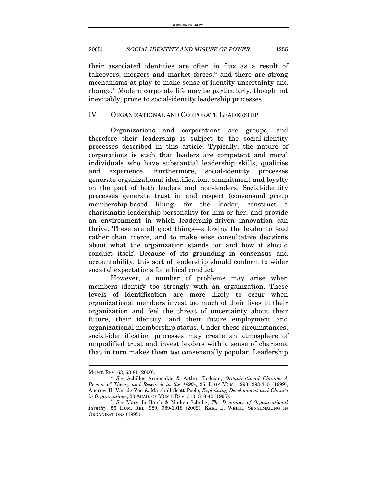their associated identities are often in flux as a result of takeovers, mergers and market forces,<sup>53</sup> and there are strong mechanisms at play to make sense of identity uncertainty and change.[54](#page-17-1) Modern corporate life may be particularly, though not inevitably, prone to social-identity leadership processes.

# IV. ORGANIZATIONAL AND CORPORATE LEADERSHIP

Organizations and corporations are groups, and therefore their leadership is subject to the social-identity processes described in this article. Typically, the nature of corporations is such that leaders are competent and moral individuals who have substantial leadership skills, qualities and experience. Furthermore, social-identity processes generate organizational identification, commitment and loyalty on the part of both leaders and non-leaders. Social-identity processes generate trust in and respect (consensual group membership-based liking) for the leader, construct a charismatic leadership personality for him or her, and provide an environment in which leadership-driven innovation can thrive. These are all good things—allowing the leader to lead rather than coerce, and to make wise consultative decisions about what the organization stands for and how it should conduct itself. Because of its grounding in consensus and accountability, this sort of leadership should conform to wider societal expectations for ethical conduct.

However, a number of problems may arise when members identify too strongly with an organization. These levels of identification are more likely to occur when organizational members invest too much of their lives in their organization and feel the threat of uncertainty about their future, their identity, and their future employment and organizational membership status. Under these circumstances, social-identification processes may create an atmosphere of unqualified trust and invest leaders with a sense of charisma that in turn makes them too consensually popular. Leadership

<span id="page-17-0"></span>

MGMT. REV. 63, 63-81 (2000). 53 *See* Achilles Armenakis & Arthur Bedeian, *Organizational Change: A Review of Theory and Research in the 1990s*, 25 J. OF MGMT. 293, 293-315 (1999); Andrew H. Van de Ven & Marshall Scott Poole, *Explaining Development and Change* 

<span id="page-17-1"></span><sup>&</sup>lt;sup>54</sup> See Mary Jo Hatch & Majken Schultz, *The Dynamics of Organizational Identity*, 55 HUM. REL. 989, 989-1018 (2002); KARL E. WEICK, SENSEMAKING IN ORGANIZATIONS (1995).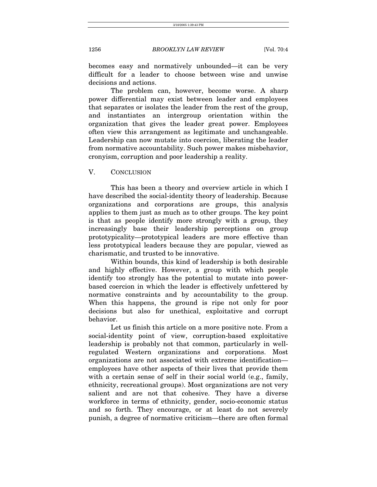becomes easy and normatively unbounded—it can be very difficult for a leader to choose between wise and unwise decisions and actions.

The problem can, however, become worse. A sharp power differential may exist between leader and employees that separates or isolates the leader from the rest of the group, and instantiates an intergroup orientation within the organization that gives the leader great power. Employees often view this arrangement as legitimate and unchangeable. Leadership can now mutate into coercion, liberating the leader from normative accountability. Such power makes misbehavior, cronyism, corruption and poor leadership a reality.

# V. CONCLUSION

This has been a theory and overview article in which I have described the social-identity theory of leadership. Because organizations and corporations are groups, this analysis applies to them just as much as to other groups. The key point is that as people identify more strongly with a group, they increasingly base their leadership perceptions on group prototypicality—prototypical leaders are more effective than less prototypical leaders because they are popular, viewed as charismatic, and trusted to be innovative.

Within bounds, this kind of leadership is both desirable and highly effective. However, a group with which people identify too strongly has the potential to mutate into powerbased coercion in which the leader is effectively unfettered by normative constraints and by accountability to the group. When this happens, the ground is ripe not only for poor decisions but also for unethical, exploitative and corrupt behavior.

Let us finish this article on a more positive note. From a social-identity point of view, corruption-based exploitative leadership is probably not that common, particularly in wellregulated Western organizations and corporations. Most organizations are not associated with extreme identification employees have other aspects of their lives that provide them with a certain sense of self in their social world (e.g., family, ethnicity, recreational groups). Most organizations are not very salient and are not that cohesive. They have a diverse workforce in terms of ethnicity, gender, socio-economic status and so forth. They encourage, or at least do not severely punish, a degree of normative criticism—there are often formal